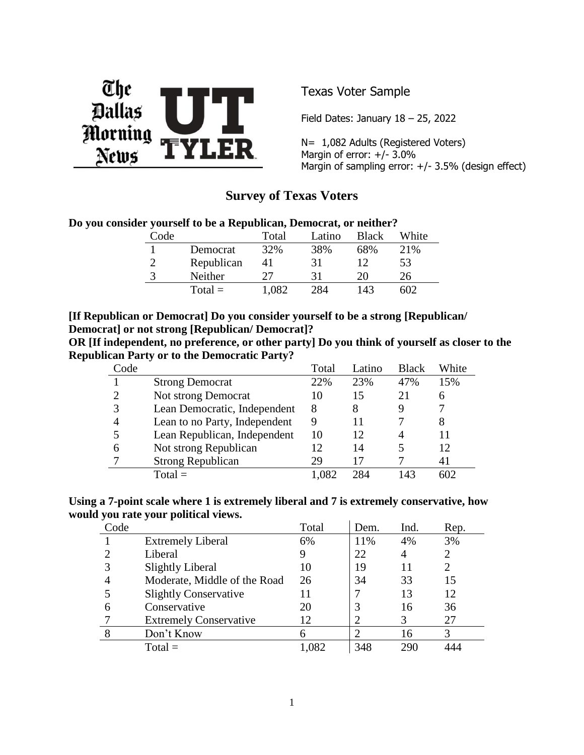

Texas Voter Sample

Field Dates: January  $18 - 25$ , 2022

N= 1,082 Adults (Registered Voters) Margin of error: +/- 3.0% Margin of sampling error: +/- 3.5% (design effect)

# **Survey of Texas Voters**

#### **Do you consider yourself to be a Republican, Democrat, or neither?**

| $\text{Code}$ |            | Total | Latino | <b>Black</b> | White |
|---------------|------------|-------|--------|--------------|-------|
|               | Democrat   | 32%   | 38%    | 68%          | 21\%  |
|               | Republican | 41    | 31     |              | 53    |
|               | Neither    | フフ    | 31     | 20           | 26    |
|               | $Total =$  | .082  | 284    | 143          |       |

#### **[If Republican or Democrat] Do you consider yourself to be a strong [Republican/ Democrat] or not strong [Republican/ Democrat]?**

**OR [If independent, no preference, or other party] Do you think of yourself as closer to the Republican Party or to the Democratic Party?**

| 'ode |                               | Total | Latino | <b>Black</b> | White |
|------|-------------------------------|-------|--------|--------------|-------|
|      | <b>Strong Democrat</b>        | 22%   | 23%    | 47%          | 15%   |
|      | Not strong Democrat           | 10    | 15     | 21           |       |
|      | Lean Democratic, Independent  | 8     | 8      | 9            |       |
|      | Lean to no Party, Independent | 9     |        |              | 8     |
|      | Lean Republican, Independent  | 10    | 12     |              |       |
| 6    | Not strong Republican         | 12    | 14     |              | 12    |
|      | <b>Strong Republican</b>      | 29    |        |              | 41    |
|      | $Total =$                     |       |        | 143          |       |

**Using a 7-point scale where 1 is extremely liberal and 7 is extremely conservative, how would you rate your political views.** 

| Code |                               | Total | Dem. | Ind. | Rep.                  |
|------|-------------------------------|-------|------|------|-----------------------|
|      | <b>Extremely Liberal</b>      | 6%    | 11%  | 4%   | 3%                    |
|      | Liberal                       | 9     | 22   | 4    | $\overline{2}$        |
|      | <b>Slightly Liberal</b>       | 10    | 19   | 11   | $\mathcal{D}_{\cdot}$ |
|      | Moderate, Middle of the Road  | 26    | 34   | 33   | 15                    |
|      | <b>Slightly Conservative</b>  | 11    |      | 13   | 12                    |
| 6    | Conservative                  | 20    | 3    | 16   | 36                    |
|      | <b>Extremely Conservative</b> | 12    | 2    | 3    | 27                    |
| 8    | Don't Know                    |       |      | 16   | 3                     |
|      | $Total =$                     | 0.087 | 348  | 290  |                       |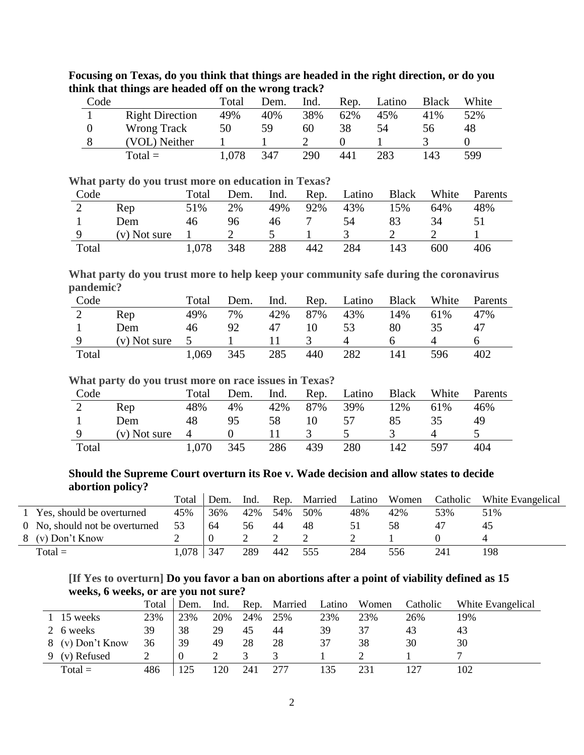| Code |                        | Total | Dem. | Ind. | Rep. | Latino | <b>Black</b> | White |
|------|------------------------|-------|------|------|------|--------|--------------|-------|
|      | <b>Right Direction</b> | 49%   | 40%  | 38%  | 62%  | 45%    | 41%          | 52%   |
|      | Wrong Track            | 50    | 59   | 60   | 38   | 54     | 56           | 48    |
|      | (VOL) Neither          |       |      |      |      |        |              |       |
|      | $Total =$              | l.078 | 347  | 290  | 441  | 283    | 143          | 599   |

**Focusing on Texas, do you think that things are headed in the right direction, or do you think that things are headed off on the wrong track?**

**What party do you trust more on education in Texas?**

| Code  |                | Total | Dem. | Ind. | Rep. | Latino | <b>Black</b> | White | Parents |
|-------|----------------|-------|------|------|------|--------|--------------|-------|---------|
| ∠     | Rep            | 51%   | 2%   | 49%  | 92%  | 43%    | 15%          | 64%   | 48%     |
|       | Dem            | 46    | 96   | 46   |      | 54     |              | 34    |         |
|       | $(v)$ Not sure |       |      |      |      |        |              |       |         |
| Total |                | 1,078 | 348  | 288  | 442  | 284    | 143          | 600   | 406     |

**What party do you trust more to help keep your community safe during the coronavirus pandemic?**

| Code  |                | Total | Dem. | Ind. | Rep. | Latino | <b>Black</b> | White | Parents |
|-------|----------------|-------|------|------|------|--------|--------------|-------|---------|
| ∠     | Rep            | 49%   | 7%   | 42%  | 87%  | 43%    | 14%          | 61%   | 47%     |
|       | Dem            | 46    | 92   | 47   |      |        | 80           | 35    | 47      |
|       | $(v)$ Not sure |       |      |      |      |        |              |       |         |
| Total |                | 1,069 | 345  | 285  | 440  | 282    | l 41         | 596   | 402     |

#### **What party do you trust more on race issues in Texas?**

| Code  |                | Total          | Dem. | Ind. | Rep. | Latino | <b>Black</b> | White | Parents |
|-------|----------------|----------------|------|------|------|--------|--------------|-------|---------|
| ∠     | Rep            | 48%            | 4%   | 42%  | 87%  | 39%    | 12%          | 61%   | 46%     |
|       | Dem            | 48             | 95   | 58   |      |        | 85           | 35    | 49      |
|       | $(v)$ Not sure | $\overline{4}$ |      |      |      |        |              |       |         |
| Total |                | 1.070          | 345  | 286  | 439  | 280    | 142          | 597   | 404     |

#### **Should the Supreme Court overturn its Roe v. Wade decision and allow states to decide abortion policy?**

|                                | Total | Dem. | Ind. |     | Rep. Married | Latino | Women | Catholic | White Evangelical |
|--------------------------------|-------|------|------|-----|--------------|--------|-------|----------|-------------------|
| 1 Yes, should be overturned    | 45%   | 36%  | 42%  | 54% | 50%          | 48%    | 42%   | 53%      | 51%               |
| 0 No, should not be overturned | 53    | 64   | 56   | 44  | 48           |        | 58    |          |                   |
| 8 (v) Don't Know               |       |      |      |     |              |        |       |          |                   |
| $Total =$                      | 1.078 | 347  | 289  | 442 | 555          | 284    | 556   | 241      | 198               |

### **[If Yes to overturn] Do you favor a ban on abortions after a point of viability defined as 15 weeks, 6 weeks, or are you not sure?**

|           |                  | Total | Dem. | Ind. | Rep. | Married | Latino | Women | Catholic | White Evangelical |
|-----------|------------------|-------|------|------|------|---------|--------|-------|----------|-------------------|
|           | 15 weeks         | 23%   | 23%  | 20%  | 24%  | 25%     | 23%    | 23%   | 26%      | 19%               |
| 2 6 weeks |                  | 39    | 38   | 29   | 45   | 44      | 39     | 37    |          | 43                |
|           | 8 (v) Don't Know | 36    | 39   | 49   | 28   | 28      | 37     | 38    | 30       | 30                |
|           | 9 (v) Refused    |       |      |      |      |         |        |       |          |                   |
|           | $Total =$        | 486   |      | 20   | 241  | 277     |        | 231   |          | 102               |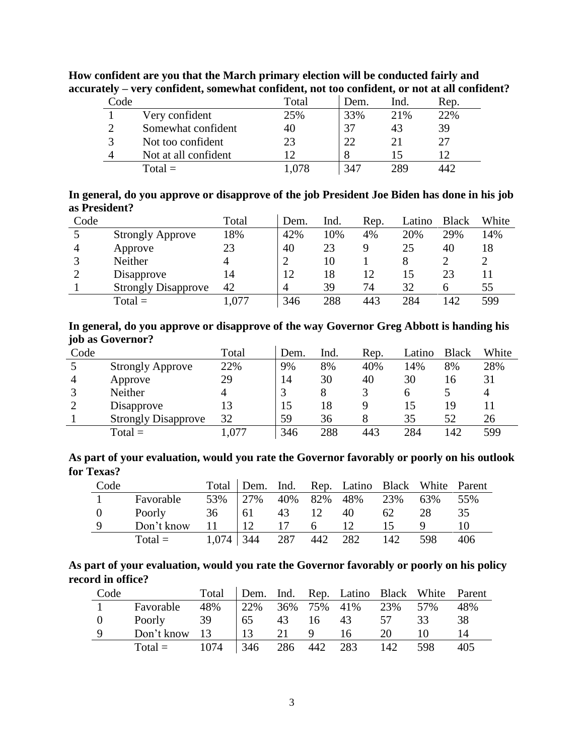| Code |                      | Total | Dem. | Ind. | Rep. |
|------|----------------------|-------|------|------|------|
|      | Very confident       | 25%   | 33%  | 21%  | 22%  |
| ി    | Somewhat confident   | 40    |      | 43   | 39   |
| 3    | Not too confident    | 23    |      | 21   |      |
|      | Not at all confident |       |      |      |      |
|      | $Total =$            | .078  |      | 289  |      |

**How confident are you that the March primary election will be conducted fairly and accurately – very confident, somewhat confident, not too confident, or not at all confident?**

| In general, do you approve or disapprove of the job President Joe Biden has done in his job |  |  |
|---------------------------------------------------------------------------------------------|--|--|
| as President?                                                                               |  |  |

| Code |                            | Total | Dem.           | Ind. | Rep. | Latino | <b>Black</b> | White |
|------|----------------------------|-------|----------------|------|------|--------|--------------|-------|
|      | <b>Strongly Approve</b>    | 18%   | 42%            | 10%  | 4%   | 20%    | 29%          | 14%   |
|      | Approve                    | 23    | 40             | 23   | 9    | 25     | 40           | 18    |
|      | Neither                    |       | $\overline{2}$ | 10   |      |        |              |       |
|      | Disapprove                 | 14    | 12             | 18   | 12   |        | 23           |       |
|      | <b>Strongly Disapprove</b> | 42    | 4              | 39   | 74   | 32     |              | 55    |
|      | $Total =$                  | .077  | 346            | 288  | 443  | 284    | 142          | 599   |

**In general, do you approve or disapprove of the way Governor Greg Abbott is handing his job as Governor?**

| Code |                            | Total | Dem. | Ind. | Rep. | _atino | <b>Black</b> | White |
|------|----------------------------|-------|------|------|------|--------|--------------|-------|
|      | <b>Strongly Approve</b>    | 22%   | 9%   | 8%   | 40%  | 14%    | 8%           | 28%   |
| 4    | Approve                    | 29    | 14   | 30   | 40   | 30     | 16           | 31    |
|      | Neither                    |       |      | 8    |      | h      |              |       |
|      | Disapprove                 |       | 15   | 18   |      | 15     | 19           |       |
|      | <b>Strongly Disapprove</b> | 32    | 59   | 36   |      | 35     | 52           | 26    |
|      | $Total =$                  | ,077  | 346  | 288  | 443  | 284    | 142          | 599   |

**As part of your evaluation, would you rate the Governor favorably or poorly on his outlook for Texas?**

| Code     |               |       |         |     |     | Total   Dem. Ind. Rep. Latino Black White Parent |     |     |     |
|----------|---------------|-------|---------|-----|-----|--------------------------------------------------|-----|-----|-----|
|          | Favorable     |       | 53% 27% |     |     | 40% 82% 48%                                      | 23% | 63% | 55% |
| $\Omega$ | <b>Poorly</b> | 36    | 61      | 43  | 12  | 40                                               | 62  | 28  | 35. |
| Q        | Don't know    | 11    | 12      | 17  | 6   | 12                                               | 15  |     | 10  |
|          | $Total =$     | 1,074 | 344     | 287 | 442 | 282                                              | 142 | 598 | 406 |

**As part of your evaluation, would you rate the Governor favorably or poorly on his policy record in office?**

| Code           |                            | Total                       |                                                   |  | Dem. Ind. Rep. Latino Black White Parent |    |    |     |
|----------------|----------------------------|-----------------------------|---------------------------------------------------|--|------------------------------------------|----|----|-----|
|                | Favorable                  | 48% 22% 36% 75% 41% 23% 57% |                                                   |  |                                          |    |    | 48% |
| $\overline{0}$ | Poorly                     | 39                          | $\begin{bmatrix} 65 & 43 & 16 & 43 \end{bmatrix}$ |  |                                          | 57 | 33 | 38  |
|                | Don't know 13   13 21 9 16 |                             |                                                   |  |                                          | 20 |    | 14  |
|                | $Total = 1074$             |                             |                                                   |  | 346 286 442 283 142 598                  |    |    | 405 |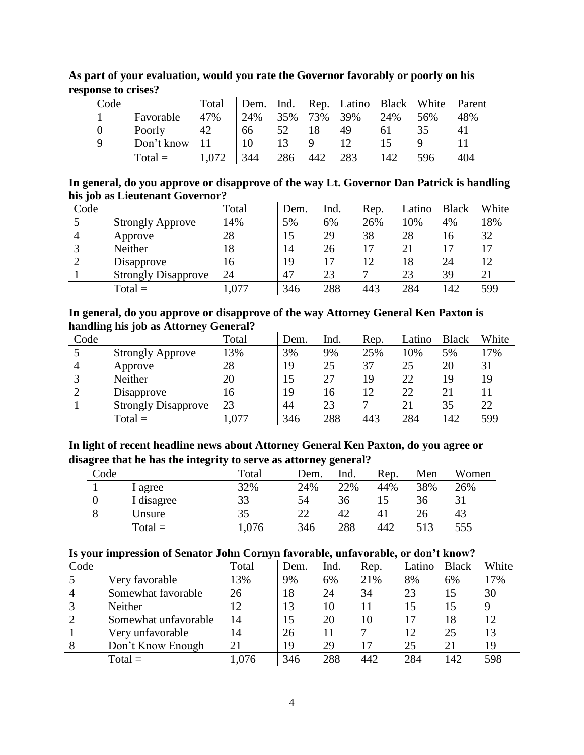| Code                         |                                           |  |  | Total Dem. Ind. Rep. Latino Black White Parent         |    |    |              |
|------------------------------|-------------------------------------------|--|--|--------------------------------------------------------|----|----|--------------|
| and the contract of the con- | Favorable 47% 24% 35% 73% 39% 24% 56% 48% |  |  |                                                        |    |    |              |
| $\Omega$                     | Poorly 42                                 |  |  | $\begin{bmatrix} 66 & 52 & 18 & 49 & 61 \end{bmatrix}$ |    | 35 | 41           |
| Q                            | Don't know $11 \t 10 \t 13 \t 9 \t 12$    |  |  |                                                        | 15 |    | $\mathbf{L}$ |
|                              | Total = $1,072$   344 286 442 283 142 596 |  |  |                                                        |    |    | 404          |

**As part of your evaluation, would you rate the Governor favorably or poorly on his response to crises?**

**In general, do you approve or disapprove of the way Lt. Governor Dan Patrick is handling his job as Lieutenant Governor?**  $\mathcal{L}_{\mathcal{A}}$ 

| Code |                            | Total | Dem. | Ind. | Rep. | Latino | <b>Black</b> | White |
|------|----------------------------|-------|------|------|------|--------|--------------|-------|
|      | <b>Strongly Approve</b>    | 14%   | 5%   | 6%   | 26%  | 10%    | 4%           | 18%   |
| 4    | Approve                    | 28    | 15   | 29   | 38   | 28     | 16           | 32    |
|      | Neither                    | 18    | 14   | 26   | 17   | 21     |              |       |
|      | Disapprove                 | 16    | 19   | 17   | 12   | 18     | 24           | 12    |
|      | <b>Strongly Disapprove</b> | 24    | 47   | 23   |      | 23     | 39           | 21    |
|      | $Total =$                  | ,077  | 346  | 288  | 443  | 284    | 142          | 599   |

**In general, do you approve or disapprove of the way Attorney General Ken Paxton is handling his job as Attorney General?**

| Code |                            | Total | Dem. | Ind. | Rep. | Latino | <b>Black</b> | White |
|------|----------------------------|-------|------|------|------|--------|--------------|-------|
|      | <b>Strongly Approve</b>    | 13%   | 3%   | 9%   | 25%  | 10%    | 5%           | 17%   |
| 4    | Approve                    | 28    | 19   | 25   | 37   | 25     | 20           | 31    |
|      | Neither                    | 20    |      | 27   | 19   | 22     | 19           | 19    |
|      | Disapprove                 | 16    | 19   | 16   | 12   | 22     |              |       |
|      | <b>Strongly Disapprove</b> | 23    | 44   | 23   |      | 21     | 35           | 22    |
|      | $Total =$                  | ,077  | 346  | 288  | 443  | 284    | 142          | 599   |

**In light of recent headline news about Attorney General Ken Paxton, do you agree or disagree that he has the integrity to serve as attorney general?**

| Code |            | Total | Dem. | Ind. | Rep. | Men | Women |
|------|------------|-------|------|------|------|-----|-------|
|      | l agree    | 32%   | 24%  | 22%  | 44%  | 38% | 26%   |
|      | I disagree | 33    | 54   | 36   |      | 36  |       |
|      | Unsure     | 35    | າາ   | 42   | 41   | 26  | 43    |
|      | $Total =$  | 0.076 | 346  | 288  | 442  | 513 | 555   |

|  |  |  | Is your impression of Senator John Cornyn favorable, unfavorable, or don't know? |  |
|--|--|--|----------------------------------------------------------------------------------|--|
|  |  |  |                                                                                  |  |
|  |  |  |                                                                                  |  |
|  |  |  |                                                                                  |  |

|      | . .                  | . .   |      |      |      |        |              |       |
|------|----------------------|-------|------|------|------|--------|--------------|-------|
| Code |                      | Total | Dem. | Ind. | Rep. | Latino | <b>Black</b> | White |
|      | Very favorable       | 13%   | 9%   | 6%   | 21%  | 8%     | 6%           | 17%   |
| 4    | Somewhat favorable   | 26    | 18   | 24   | 34   | 23     |              | 30    |
|      | Neither              | 12    | 13   | 10   | 11   | 15     |              | Q     |
|      | Somewhat unfavorable | 14    | 15   | 20   | 10   | 17     | 18           | 12    |
|      | Very unfavorable     | 14    | 26   |      |      | 12     | 25           | 13    |
|      | Don't Know Enough    | 21    | 19   | 29   | 17   | 25     | 21           | 19    |
|      | $Total =$            | .076  | 346  | 288  | 442  | 284    | 142          | 598   |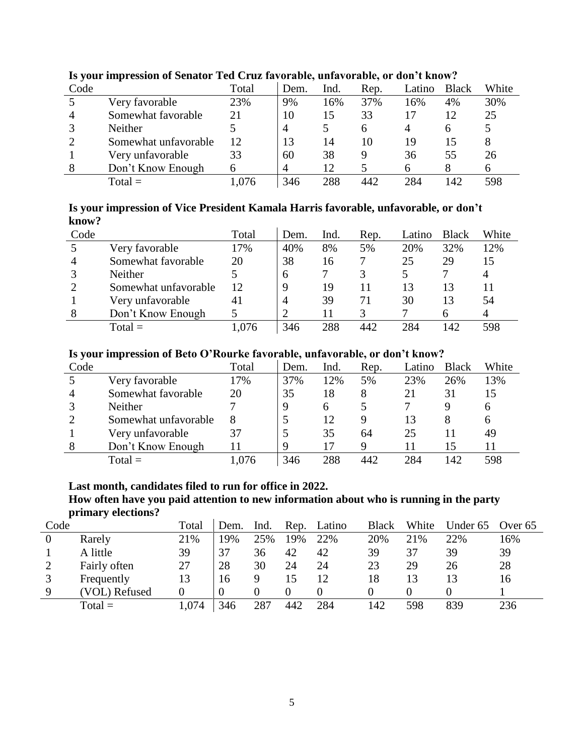| $\overline{\phantom{a}}$ |                      |       |      |      |              |        |              |       |
|--------------------------|----------------------|-------|------|------|--------------|--------|--------------|-------|
| Code                     |                      | Total | Dem. | Ind. | Rep.         | Latino | <b>Black</b> | White |
|                          | Very favorable       | 23%   | 9%   | 16%  | 37%          | 16%    | 4%           | 30%   |
|                          | Somewhat favorable   | 21    | 10   | 15   | 33           |        | 12           | 25    |
|                          | Neither              |       | 4    |      | <sub>0</sub> | 4      |              |       |
|                          | Somewhat unfavorable | 12    | 13   | 14   | 10           | 19     | 15           |       |
|                          | Very unfavorable     | 33    | 60   | 38   |              | 36     | 55           | 26    |
|                          | Don't Know Enough    |       | 4    | 12   |              | h      |              | h     |
|                          | $Total =$            | .076  | 346  | 288  | 442          | 284    | 142          | 598   |

### **Is your impression of Senator Ted Cruz favorable, unfavorable, or don't know?**

#### **Is your impression of Vice President Kamala Harris favorable, unfavorable, or don't know?**

| Code |                      | Total | Dem. | Ind. | Rep. | Latino | <b>Black</b> | White |
|------|----------------------|-------|------|------|------|--------|--------------|-------|
|      | Very favorable       | 17%   | 40%  | 8%   | 5%   | 20%    | 32%          | 12%   |
| 4    | Somewhat favorable   | 20    | 38   | 16   |      | 25     | 29           | 15    |
|      | <b>Neither</b>       |       | 6    |      |      |        |              |       |
|      | Somewhat unfavorable | 12    | 9    | 19   | 11   | 13     | 13           |       |
|      | Very unfavorable     | 41    | 4    | 39   | 71   | 30     | 13           | 54    |
|      | Don't Know Enough    |       |      |      |      |        | h            |       |
|      | $Total =$            |       | 346  | 288  | 442  | 284    | 42           | 598   |

### **Is your impression of Beto O'Rourke favorable, unfavorable, or don't know?**

| Code |                      | Total | Dem. | Ind. | Rep. | Latino | <b>Black</b> | White |
|------|----------------------|-------|------|------|------|--------|--------------|-------|
|      | Very favorable       | 17%   | 37%  | 12%  | 5%   | 23%    | 26%          | 13%   |
| 4    | Somewhat favorable   | 20    | 35   | 18   |      |        | 31           | 15    |
|      | Neither              |       | 9    | h    |      |        |              | 6     |
|      | Somewhat unfavorable | 8     |      | 12   | Q    |        |              | 6     |
|      | Very unfavorable     | 37    |      | 35   | 64   | 25     |              | 49    |
| 8    | Don't Know Enough    | 11    | 9    |      | Q    |        | 15           |       |
|      | $Total =$            | .076  | 346  | 288  | 442  | 284    | 142          | 598   |

### **Last month, candidates filed to run for office in 2022.**

**How often have you paid attention to new information about who is running in the party primary elections?**

| Code |               | Total | Dem. | Ind. | Rep. | Latino | <b>Black</b> | White | Under 65 | Over 65 |
|------|---------------|-------|------|------|------|--------|--------------|-------|----------|---------|
| 0    | Rarely        | 21%   | 19%  | 25%  | 19%  | 22%    | 20%          | 21%   | 22%      | 16%     |
|      | A little      | 39    | 37   | 36   | 42   | 42     | 39           | 37    | 39       | 39      |
|      | Fairly often  | 27    | 28   | 30   | 24   | 24     | 23           | 29    | 26       | 28      |
|      | Frequently    | 13    | 16   |      |      | 12     | 18           |       |          | 16      |
|      | (VOL) Refused |       |      |      |      |        |              |       |          |         |
|      | $Total =$     | 1,074 | 346  | 287  | 442  | 284    | 142          | 598   | 839      | 236     |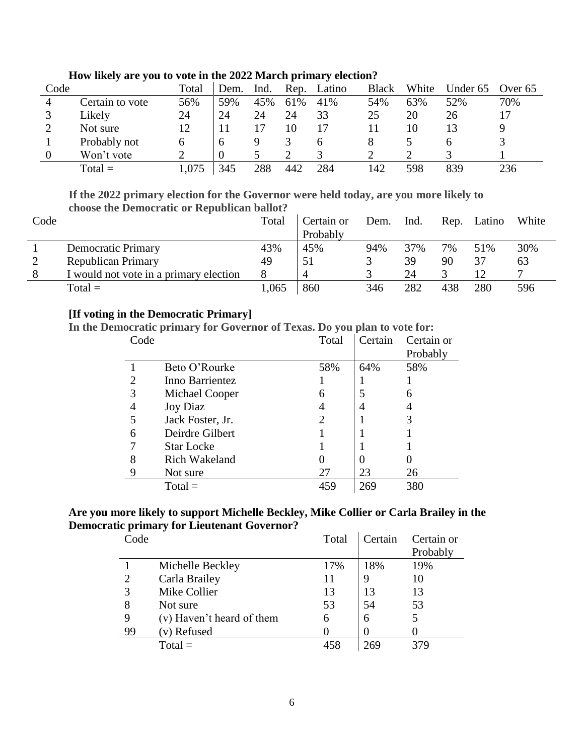| Code |                 | Total | Dem. | Ind. | Rep. | Latino | <b>Black</b> | White | Under 65 | Over 65 |
|------|-----------------|-------|------|------|------|--------|--------------|-------|----------|---------|
|      | Certain to vote | 56%   | 59%  | 45%  | 61%  | 41%    | 54%          | 63%   | 52%      | 70%     |
|      | Likely          | 24    | 24   | 24   | 24   | 33     | 25           | 20    | 26       |         |
|      | Not sure        | 12    |      |      |      |        |              | 10    |          |         |
|      | Probably not    |       | n    |      |      | h      |              |       | n        |         |
|      | Won't vote      |       |      |      |      |        |              |       |          |         |
|      | $Total =$       | 1,075 | 345  | 288  | 442  | 284    | 142          | 598   | 839      | 236     |

#### **How likely are you to vote in the 2022 March primary election?**

**If the 2022 primary election for the Governor were held today, are you more likely to choose the Democratic or Republican ballot?**

| Code |                                        | Total | Certain or | Dem. | Ind. | Rep. | Latino | White |
|------|----------------------------------------|-------|------------|------|------|------|--------|-------|
|      |                                        |       | Probably   |      |      |      |        |       |
|      | Democratic Primary                     | 43%   | 45%        | 94%  | 37%  | 7%   | 51%    | 30%   |
|      | <b>Republican Primary</b>              | 49    |            |      | 39   | 90   | 37     | 63    |
|      | I would not vote in a primary election |       |            |      | 24   |      |        |       |
|      | $Total =$                              | 1.065 | 860        | 346  | 282  | 438  | 280    | 596   |

### **[If voting in the Democratic Primary]**

**In the Democratic primary for Governor of Texas. Do you plan to vote for:**

| Code |                      | Total | Certain | Certain or |
|------|----------------------|-------|---------|------------|
|      |                      |       |         | Probably   |
|      | Beto O'Rourke        | 58%   | 64%     | 58%        |
| 2    | Inno Barrientez      |       |         |            |
| 3    | Michael Cooper       | 6     |         | 6          |
| 4    | <b>Joy Diaz</b>      | 4     |         |            |
|      | Jack Foster, Jr.     | 2     |         |            |
| 6    | Deirdre Gilbert      |       |         |            |
|      | <b>Star Locke</b>    |       |         |            |
| 8    | <b>Rich Wakeland</b> |       |         |            |
| 9    | Not sure             | 27    | 23      | 26         |
|      | $Total =$            | 459   | 269     | 380        |

## **Are you more likely to support Michelle Beckley, Mike Collier or Carla Brailey in the Democratic primary for Lieutenant Governor?**

| Code |                           | Total | Certain | Certain or<br>Probably |
|------|---------------------------|-------|---------|------------------------|
|      | Michelle Beckley          | 17%   | 18%     | 19%                    |
| 2    | Carla Brailey             | 11    |         | 10                     |
| 3    | Mike Collier              | 13    | 13      | 13                     |
| 8    | Not sure                  | 53    | 54      | 53                     |
| 9    | (v) Haven't heard of them | 6     | 6       |                        |
| 99   | (v) Refused               |       |         |                        |
|      | $Total =$                 | 458   | 269     |                        |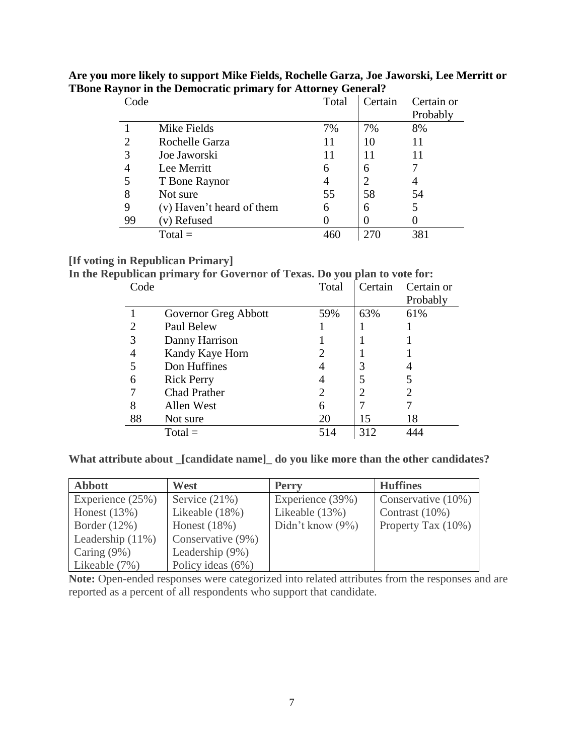| Code           | л.                        | $\cdot$<br>Total | Certain | Certain or |
|----------------|---------------------------|------------------|---------|------------|
|                |                           |                  |         | Probably   |
|                | Mike Fields               | 7%               | 7%      | 8%         |
| $\overline{2}$ | Rochelle Garza            | 11               | 10      | 11         |
| 3              | Joe Jaworski              | 11               | 11      | 11         |
| 4              | Lee Merritt               | 6                | 6       |            |
| 5              | T Bone Raynor             |                  | 2       |            |
| 8              | Not sure                  | 55               | 58      | 54         |
| 9              | (v) Haven't heard of them | 6                | 6       | 5          |
| 99             | (v) Refused               |                  |         |            |
|                | $Total =$                 | 460              |         | 381        |

**Are you more likely to support Mike Fields, Rochelle Garza, Joe Jaworski, Lee Merritt or TBone Raynor in the Democratic primary for Attorney General?** 

#### **[If voting in Republican Primary]**

**In the Republican primary for Governor of Texas. Do you plan to vote for:**

| Code |                      | Total | Certain | Certain or |
|------|----------------------|-------|---------|------------|
|      |                      |       |         | Probably   |
|      | Governor Greg Abbott | 59%   | 63%     | 61%        |
| 2    | Paul Belew           |       |         |            |
| 3    | Danny Harrison       |       |         |            |
| 4    | Kandy Kaye Horn      |       |         |            |
| 5    | Don Huffines         |       | 3       |            |
| 6    | <b>Rick Perry</b>    |       | 5       |            |
|      | <b>Chad Prather</b>  | 2     | 2       |            |
| 8    | Allen West           | 6     |         |            |
| 88   | Not sure             | 20    | 15      | 18         |
|      | $Total =$            | 514   | 312     |            |

**What attribute about \_[candidate name]\_ do you like more than the other candidates?**

| <b>Abbott</b>       | West              | <b>Perry</b>        | <b>Huffines</b>    |
|---------------------|-------------------|---------------------|--------------------|
| Experience $(25%)$  | Service $(21\%)$  | Experience (39%)    | Conservative (10%) |
| Honest $(13%)$      | Likeable (18%)    | Likeable $(13%)$    | Contrast $(10\%)$  |
| Border $(12\%)$     | Honest $(18%)$    | Didn't know $(9\%)$ | Property Tax (10%) |
| Leadership $(11\%)$ | Conservative (9%) |                     |                    |
| Caring $(9\%)$      | Leadership (9%)   |                     |                    |
| Likeable (7%)       | Policy ideas (6%) |                     |                    |

Note: Open-ended responses were categorized into related attributes from the responses and are reported as a percent of all respondents who support that candidate.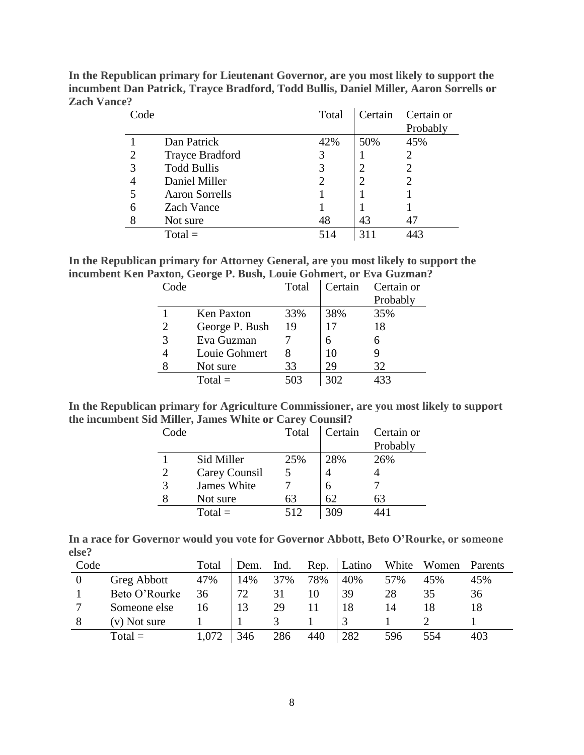| Code |                        | Total | Certain | Certain or<br>Probably |
|------|------------------------|-------|---------|------------------------|
|      | Dan Patrick            | 42%   | 50%     | 45%                    |
| 2    | <b>Trayce Bradford</b> |       |         |                        |
| 3    | <b>Todd Bullis</b>     |       |         | 2                      |
| 4    | Daniel Miller          |       |         |                        |
| 5    | <b>Aaron Sorrells</b>  |       |         |                        |
| 6    | <b>Zach Vance</b>      |       |         |                        |
| 8    | Not sure               | 48    | 43      | 47                     |
|      | $Total =$              | 514   |         | 443                    |

**In the Republican primary for Lieutenant Governor, are you most likely to support the incumbent Dan Patrick, Trayce Bradford, Todd Bullis, Daniel Miller, Aaron Sorrells or Zach Vance?**

| In the Republican primary for Attorney General, are you most likely to support the |  |
|------------------------------------------------------------------------------------|--|
| incumbent Ken Paxton, George P. Bush, Louie Gohmert, or Eva Guzman?                |  |

| Code |                   | Total | Certain | Certain or |
|------|-------------------|-------|---------|------------|
|      |                   |       |         | Probably   |
|      | <b>Ken Paxton</b> | 33%   | 38%     | 35%        |
| 2    | George P. Bush    | 19    | 17      | 18         |
| 3    | Eva Guzman        |       | 6       |            |
|      | Louie Gohmert     |       | 10      |            |
|      | Not sure          | 33    | 29      | 32         |
|      | $Total =$         | 503   | 302     | 433        |

| In the Republican primary for Agriculture Commissioner, are you most likely to support |  |
|----------------------------------------------------------------------------------------|--|
| the incumbent Sid Miller, James White or Carey Counsil?                                |  |

| Code |               | Total | Certain | Certain or<br>Probably |
|------|---------------|-------|---------|------------------------|
|      | Sid Miller    | 25%   | 28%     | 26%                    |
| 2    | Carey Counsil |       |         |                        |
| 3    | James White   |       | 6       |                        |
|      | Not sure      | 63    | 62      | 63                     |
|      | $Total =$     | 512   | 309     |                        |

| In a race for Governor would you vote for Governor Abbott, Beto O'Rourke, or someone |  |  |  |  |  |
|--------------------------------------------------------------------------------------|--|--|--|--|--|
| else?                                                                                |  |  |  |  |  |

| Code |                | Total | Dem. | Ind. | Rep. | Latino | White | Women | Parents |
|------|----------------|-------|------|------|------|--------|-------|-------|---------|
|      | Greg Abbott    | 47%   | 14%  | 37%  | 78%  | 40%    | 57%   | 45%   | 45%     |
|      | Beto O'Rourke  | 36    | 72   |      |      | 39     | 28    | 35    | 36      |
|      | Someone else   | 16    |      | 29   |      | 18     | 14    |       |         |
|      | $(v)$ Not sure |       |      |      |      |        |       |       |         |
|      | $Total =$      | 1,072 | 346  | 286  | 440  | 282    | 596   | 554   | 403     |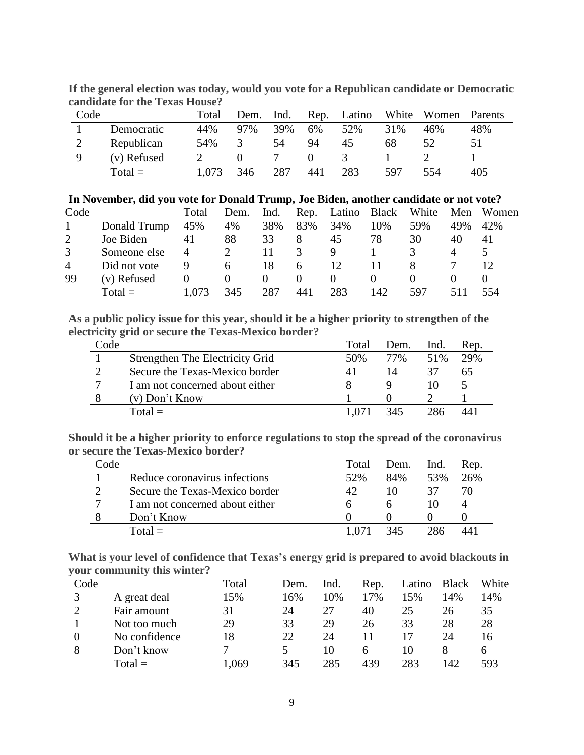| Code |             | Total | Dem. | Ind. | Rep. | Latino | White | Women | Parents |
|------|-------------|-------|------|------|------|--------|-------|-------|---------|
|      | Democratic  | 44%   | 97%  | 39%  | 6%   | 52%    | 31%   | 46%   | 48%     |
|      | Republican  | 54%   |      | 54   | 94   | 45     | 68    | 52    |         |
| Q    | (v) Refused |       |      |      |      |        |       |       |         |
|      | $Total =$   | 1,073 | 346  | 287  | 441  | 283    | 597   | 554   | 405     |

**If the general election was today, would you vote for a Republican candidate or Democratic candidate for the Texas House?**

| Code |              | Total | Dem. | Ind. | Rep. | Latino | <b>Black</b> | White | Men | Women |
|------|--------------|-------|------|------|------|--------|--------------|-------|-----|-------|
|      | Donald Trump | 45%   | 4%   | 38%  | 83%  | 34%    | 10%          | 59%   | 49% | 42%   |
|      | Joe Biden    | 41    | 88   | 33   | 8    | 45     | 78           | 30    | 40  | 41    |
|      | Someone else | 4     |      |      |      |        |              |       |     |       |
|      | Did not vote |       |      |      | h    | 12     |              |       |     |       |
| 99   | (v) Refused  |       |      |      |      |        |              |       |     |       |
|      | $Total =$    | .073  | 345  | 287  | 441  | 283    | 142          | 597   |     | 554   |

**As a public policy issue for this year, should it be a higher priority to strengthen of the electricity grid or secure the Texas-Mexico border?**

| Code |                                 | Total | Dem. | Ind. | Rep. |
|------|---------------------------------|-------|------|------|------|
|      | Strengthen The Electricity Grid | 50%   | 77%  | 51%  | 29%  |
|      | Secure the Texas-Mexico border  | 41    | 14   |      | 65   |
|      | I am not concerned about either |       |      |      |      |
|      | (v) Don't Know                  |       |      |      |      |
|      | $Total =$                       | 1.071 |      | 286  | 441  |

**Should it be a higher priority to enforce regulations to stop the spread of the coronavirus or secure the Texas-Mexico border?**

| Code |                                 | Total | Dem. | Ind. | Rep. |
|------|---------------------------------|-------|------|------|------|
|      | Reduce coronavirus infections   | 52%   | 84%  | 53%  | 26%  |
|      | Secure the Texas-Mexico border  | 42    |      |      | 70   |
|      | I am not concerned about either | h     |      |      |      |
|      | Don't Know                      |       |      |      |      |
|      | $Total =$                       |       |      |      |      |

**What is your level of confidence that Texas's energy grid is prepared to avoid blackouts in your community this winter?**

| Code |               | Total | Dem. | Ind. | Rep. | Latino | <b>Black</b> | White |
|------|---------------|-------|------|------|------|--------|--------------|-------|
| 3    | A great deal  | .5%   | 16%  | 10%  | 17%  | 15%    | 14%          | 14%   |
|      | Fair amount   | 31    | 24   | 27   | 40   | 25     | 26           | 35    |
|      | Not too much  | 29    | 33   | 29   | 26   | 33     | 28           | 28    |
|      | No confidence | 18    | 22   | 24   |      |        | 24           | 16    |
| 8    | Don't know    |       |      |      |      | 10     |              |       |
|      | $Total =$     | ,069  | 345  | 285  | 439  | 283    | 142          | 593   |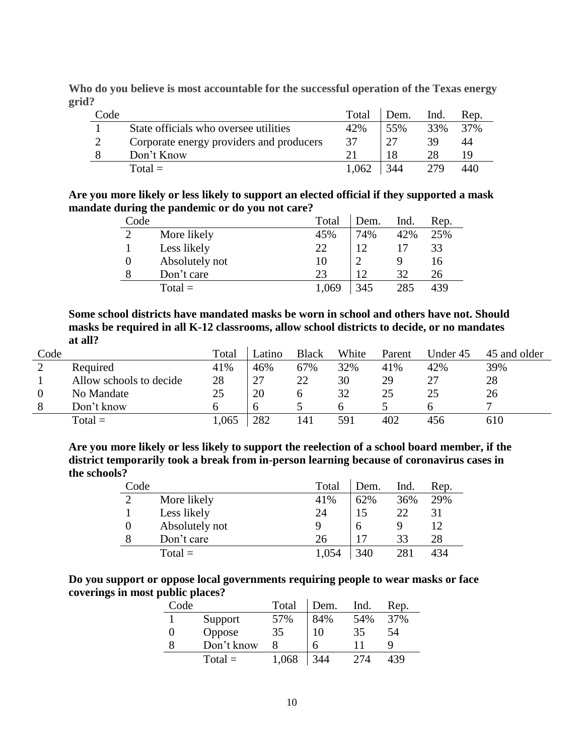**Who do you believe is most accountable for the successful operation of the Texas energy grid?**

| Code |                                          | Total | Dem. | Ind. | Rep. |
|------|------------------------------------------|-------|------|------|------|
|      | State officials who oversee utilities    | 42%   | 55%  | 33%  | 37%  |
|      | Corporate energy providers and producers | 37    |      | 39   | 44   |
|      | Don't Know                               |       |      | 28   | 1 Q  |
|      | $Total =$                                | 1.062 | 344  | 279  | 440  |

**Are you more likely or less likely to support an elected official if they supported a mask mandate during the pandemic or do you not care?**

| Code          |                | Total | Dem. | Ind. | Rep. |
|---------------|----------------|-------|------|------|------|
| $\mathcal{D}$ | More likely    | 45%   | 74%  | 42%  | 25%  |
|               | Less likely    | 22    | 12   |      | 33   |
| 0             | Absolutely not | 10    |      |      | 16   |
| 8             | Don't care     | 23    |      | 32   | 26   |
|               | $Total =$      | 1,069 | 345  | 285  | 439  |

**Some school districts have mandated masks be worn in school and others have not. Should masks be required in all K-12 classrooms, allow school districts to decide, or no mandates at all?**

| Code |                         | Total | Latino | <b>Black</b> | White | Parent | Under 45 | 45 and older |
|------|-------------------------|-------|--------|--------------|-------|--------|----------|--------------|
|      | Required                | 41%   | 46%    | 67%          | 32%   | 41%    | 42%      | 39%          |
|      | Allow schools to decide | 28    | 27     | 22           | 30    | 29     | 27       | 28           |
|      | No Mandate              | 25    | 20     |              | 32    |        | 25       | 26           |
| 8    | Don't know              |       | h      |              |       |        |          |              |
|      | $Total =$               | .065  | 282    | 41           | 591   | 402    | 456      | 610          |

**Are you more likely or less likely to support the reelection of a school board member, if the district temporarily took a break from in-person learning because of coronavirus cases in the schools?**

| Code |                | Total | Dem. | Ind. | Rep. |
|------|----------------|-------|------|------|------|
|      | More likely    | 41%   | 62%  | 36%  | 29%  |
|      | Less likely    | 24    |      | 22   | 31   |
|      | Absolutely not |       |      |      | 12   |
|      | Don't care     | 26    | 17   | 33   | 28   |
|      | $Total =$      | 1,054 | 340  | 281  | 434  |

| Do you support or oppose local governments requiring people to wear masks or face |
|-----------------------------------------------------------------------------------|
| coverings in most public places?                                                  |

| Code |            | Total | Dem. | Ind. | Rep. |
|------|------------|-------|------|------|------|
|      | Support    | 57%   | 84%  | 54%  | 37%  |
|      | Oppose     | 35    | 10   | 35   | 54   |
|      | Don't know |       | 6    |      | û    |
|      | $Total =$  | 1,068 | 344  | 274  | 439  |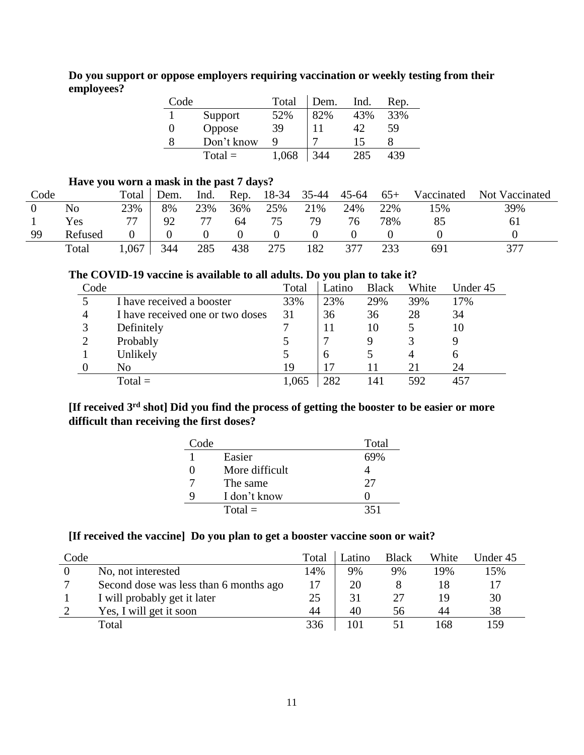**Do you support or oppose employers requiring vaccination or weekly testing from their employees?**

| Code |            | Total | Dem. | Ind. | Rep. |
|------|------------|-------|------|------|------|
|      | Support    | 52%   | 82%  | 43%  | 33%  |
|      | Oppose     | 39    |      | 42   | 59   |
|      | Don't know | Q     |      | 15   |      |
|      | $Total =$  | 1.068 | 344  |      | 439  |

### **Have you worn a mask in the past 7 days?**

| Code |         | Total | Dem. | Ind. | Rep. | 18-34 | 35-44 | 45-64 | $65+$ | Vaccinated | Not Vaccinated |
|------|---------|-------|------|------|------|-------|-------|-------|-------|------------|----------------|
|      | No      | 23%   | 8%   | 23%  | 36%  | 25%   | 21%   | 24%   | 22%   | l 5%       | 39%            |
|      | Yes     |       | 92   | 77   | 64   | 75    | 70    | 76    | 78%   | 85         | 61             |
| 99   | Refused |       |      |      |      |       |       |       |       |            |                |
|      | Total   | 1,067 | 344  | 285  | 438  | 275   | 182   | 377   | 233   | 691        | 377            |

### **The COVID-19 vaccine is available to all adults. Do you plan to take it?**

| Code |                                  | Total | Latino   | <b>Black</b> | White | Under 45 |
|------|----------------------------------|-------|----------|--------------|-------|----------|
|      | I have received a booster        | 33%   | 23%      | 29%          | 39%   | 17%      |
| 4    | I have received one or two doses | 31    | 36       | 36           | 28    | 34       |
|      | Definitely                       |       |          | 10           |       | 10       |
|      | Probably                         |       |          | g            |       |          |
|      | Unlikely                         |       | $\sigma$ |              |       | n        |
|      | No                               | 19    |          |              | 21    | 24       |
|      | $Total =$                        | 1,065 | 282      | l 41         | 592   | 457      |

# **[If received 3rd shot] Did you find the process of getting the booster to be easier or more difficult than receiving the first doses?**

| Code |                | Total |
|------|----------------|-------|
|      | Easier         | 69%   |
|      | More difficult |       |
|      | The same       | 27    |
| q    | I don't know   |       |
|      | $Total =$      | 351   |

# **[If received the vaccine] Do you plan to get a booster vaccine soon or wait?**

| Code |                                        | Total | Latino | <b>Black</b> | White | Under 45 |
|------|----------------------------------------|-------|--------|--------------|-------|----------|
|      | No, not interested                     | 14%   | 9%     | 9%           | 19%   | 15%      |
|      | Second dose was less than 6 months ago | 17    | 20     |              |       |          |
|      | I will probably get it later           | 25    | 31     |              | 19    | 30       |
|      | Yes, I will get it soon                | 44    | 40     | 56           | 44    | 38       |
|      | Total                                  | 336   | !01    |              | 168   | 159      |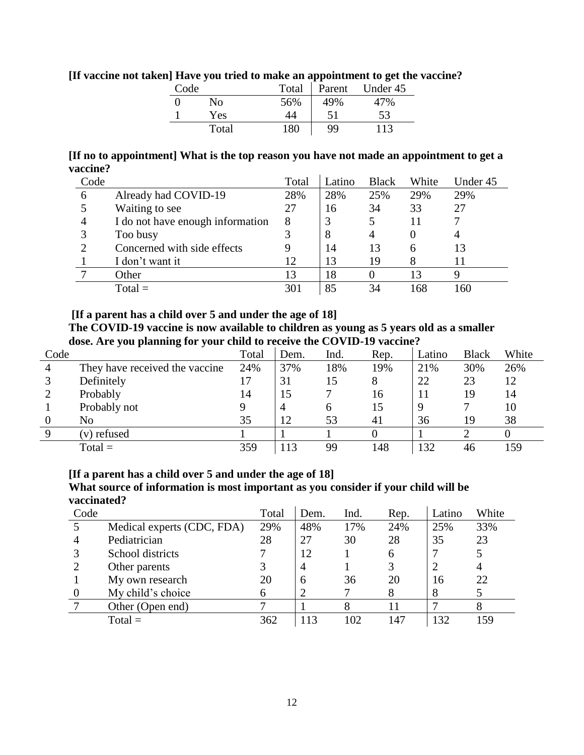| Code |            | Total | Parent | Under 45 |
|------|------------|-------|--------|----------|
|      | No         | 56%   | 49%    | 47%      |
|      | <b>Yes</b> | 44    | 51     | 53       |
|      | Total      | 180   | 99     | 113      |

### **[If vaccine not taken] Have you tried to make an appointment to get the vaccine?**

**[If no to appointment] What is the top reason you have not made an appointment to get a vaccine?**

| Code |                                  | Total | Latino | <b>Black</b> | White | Under 45 |
|------|----------------------------------|-------|--------|--------------|-------|----------|
| 6    | Already had COVID-19             | 28%   | 28%    | 25%          | 29%   | 29%      |
|      | Waiting to see                   | 27    | 16     | 34           | 33    | 27       |
| 4    | I do not have enough information | 8     |        |              |       |          |
|      | Too busy                         |       | 8      |              |       |          |
|      | Concerned with side effects      |       | 14     | 13           | h     |          |
|      | I don't want it                  | 12    | 13     | 19           |       |          |
|      | Other                            | 13    | 18     |              |       |          |
|      | $Total =$                        | 301   | 85     | 34           | 68    | .60      |

#### **[If a parent has a child over 5 and under the age of 18]**

**The COVID-19 vaccine is now available to children as young as 5 years old as a smaller dose. Are you planning for your child to receive the COVID-19 vaccine?**

| Code |                                | Total | Dem.           | Ind. | Rep. | Latino | <b>Black</b> | White |
|------|--------------------------------|-------|----------------|------|------|--------|--------------|-------|
|      | They have received the vaccine | 24%   | 37%            | 18%  | 19%  | 21%    | 30%          | 26%   |
|      | Definitely                     | 17    | 31             | 15   | 8    | 22     | 23           | 12    |
|      | Probably                       | 14    | 15             |      | 16   | 11     | 19           | 14    |
|      | Probably not                   |       | $\overline{4}$ | h    | 15   | 9      |              | 10    |
|      | No                             | 35    | 12             | 53   | 41   | 36     | 19           | 38    |
|      | (v) refused                    |       |                |      |      |        |              |       |
|      | $Total =$                      | 359   | 113            | 99   | 148  | 132    | 46           | 159   |

#### **[If a parent has a child over 5 and under the age of 18]**

**What source of information is most important as you consider if your child will be vaccinated?**

| Code |                            | Total | Dem. | Ind. | Rep. | Latino | White |
|------|----------------------------|-------|------|------|------|--------|-------|
|      | Medical experts (CDC, FDA) | 29%   | 48%  | 17%  | 24%  | 25%    | 33%   |
|      | Pediatrician               | 28    | 27   | 30   | 28   | 35     | 23    |
|      | School districts           |       | 12   |      | 6    |        |       |
|      | Other parents              |       | 4    |      |      |        |       |
|      | My own research            | 20    | 6    | 36   | 20   | 16     | 22    |
|      | My child's choice          | 6     |      |      | 8    | 8      |       |
|      | Other (Open end)           |       |      |      |      |        |       |
|      | $Total =$                  | 362   | 113  | 102  | 147  | 132    | 159   |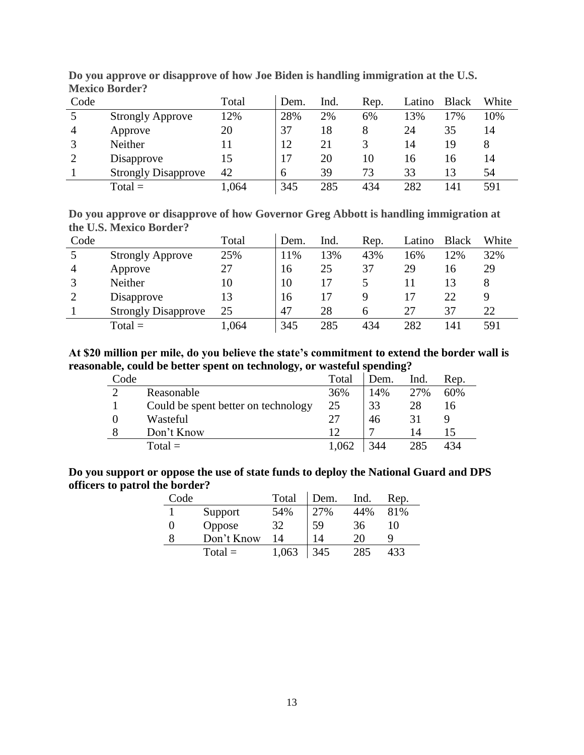| Code |                            | Total | Dem. | Ind. | Rep. | Latino | <b>Black</b> | White |
|------|----------------------------|-------|------|------|------|--------|--------------|-------|
|      | <b>Strongly Approve</b>    | 12%   | 28%  | 2%   | 6%   | 13%    | 17%          | 10%   |
| 4    | Approve                    | 20    | 37   | 18   |      | 24     | 35           | 14    |
|      | Neither                    | 11    | 12   | 21   |      | 14     | 19           |       |
|      | Disapprove                 | 15    | 17   | 20   | 10   | 16     | 16           | 14    |
|      | <b>Strongly Disapprove</b> | 42    | 6    | 39   | 73   | 33     | 13           | 54    |
|      | $Total =$                  | .064  | 345  | 285  | 434  | 282    | l41          | 591   |

**Do you approve or disapprove of how Joe Biden is handling immigration at the U.S. Mexico Border?**

**Do you approve or disapprove of how Governor Greg Abbott is handling immigration at the U.S. Mexico Border?**

| Code |                            | Total | Dem. | Ind. | Rep. | Latino | <b>Black</b> | White |
|------|----------------------------|-------|------|------|------|--------|--------------|-------|
|      | <b>Strongly Approve</b>    | 25%   | 11%  | 13%  | 43%  | 16%    | 12%          | 32%   |
| 4    | Approve                    | 27    | 16   | 25   | 37   | 29     | 16           | 29    |
|      | Neither                    | 10    | 10   |      |      |        | 13           | 8     |
|      | Disapprove                 | 13    | 16   |      |      |        | 22           |       |
|      | <b>Strongly Disapprove</b> | 25    | 47   | 28   | h    | 27     | 37           | 22    |
|      | $Total =$                  | 1,064 | 345  | 285  | 434  | 282    | 141          | 591   |

#### **At \$20 million per mile, do you believe the state's commitment to extend the border wall is reasonable, could be better spent on technology, or wasteful spending?**

| Code |                                     | Total | Dem. | Ind. | Rep. |
|------|-------------------------------------|-------|------|------|------|
|      | Reasonable                          | 36%   | 14%  | 27%  | 60%  |
|      | Could be spent better on technology | 25    | 33   | 28   | 16   |
|      | Wasteful                            | 27    | 46   | 31   |      |
|      | Don't Know                          | 12    |      | 14   | 15   |
|      | $Total =$                           | 1,062 | 344  | 285  | 434  |

### **Do you support or oppose the use of state funds to deploy the National Guard and DPS officers to patrol the border?**

| Code |            | Total | Dem. | Ind. | Rep. |
|------|------------|-------|------|------|------|
|      | Support    | 54%   | 27%  | 44%  | 81%  |
| 0    | Oppose     | 32    | 59   | 36   | 10   |
|      | Don't Know | 14    | 14   | 20   |      |
|      | $Total =$  | 1,063 | 345  | 285  | 433  |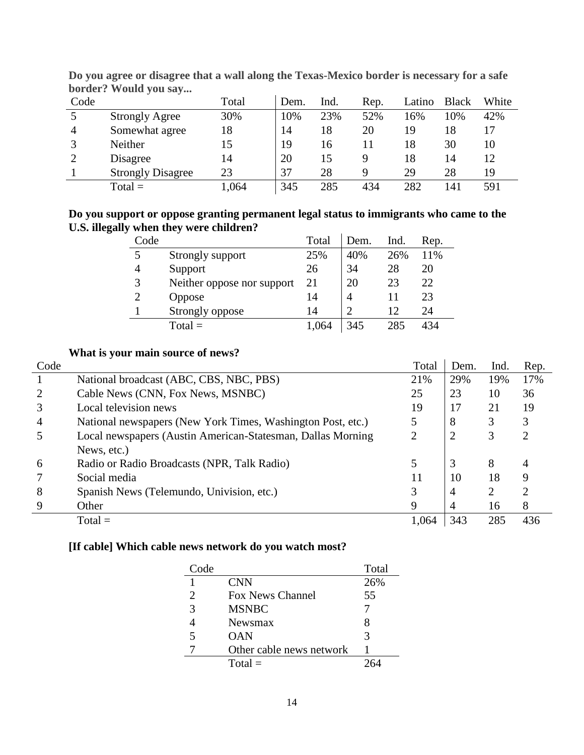| Code | $\alpha$<br>$\sim$       | Total | Dem. | Ind. | Rep. | Latino | <b>Black</b> | White |
|------|--------------------------|-------|------|------|------|--------|--------------|-------|
|      | <b>Strongly Agree</b>    | 30%   | 10%  | 23%  | 52%  | 16%    | 10%          | 42%   |
| 4    | Somewhat agree           | 18    | 14   | 18   | 20   | 19     | 18           |       |
|      | Neither                  | 15    | 19   | 16   |      | 18     | 30           | 10    |
| ി    | Disagree                 | 14    | 20   | 15   |      | 18     | 14           | 12    |
|      | <b>Strongly Disagree</b> | 23    | 37   | 28   | Q    | 29     | 28           | 19    |
|      | $Total =$                | 1,064 | 345  | 285  | 434  | 282    | l 41         | 591   |

**Do you agree or disagree that a wall along the Texas-Mexico border is necessary for a safe border? Would you say...**

# **Do you support or oppose granting permanent legal status to immigrants who came to the U.S. illegally when they were children?**

| Code           |                            | Total | Dem. | Ind. | Rep. |
|----------------|----------------------------|-------|------|------|------|
| 5              | Strongly support           | 25%   | 40%  | 26%  | 11%  |
| 4              | Support                    | 26    | 34   | 28   | 20   |
| 3              | Neither oppose nor support | 21    | 20   | 23   | 22   |
| $\overline{2}$ | Oppose                     | 14    | 4    |      | 23   |
|                | Strongly oppose            | 14    | ာ    | 12   | 24   |
|                | $Total =$                  | 1,064 | 345  | 285  | 434  |

# **What is your main source of news?**

| Code |                                                              | Total | Dem.           | Ind. | Rep. |
|------|--------------------------------------------------------------|-------|----------------|------|------|
|      | National broadcast (ABC, CBS, NBC, PBS)                      | 21%   | 29%            | 19%  | 17%  |
|      | Cable News (CNN, Fox News, MSNBC)                            | 25    | 23             | 10   | 36   |
| 3    | Local television news                                        | 19    | 17             | 21   | 19   |
| 4    | National newspapers (New York Times, Washington Post, etc.)  |       | 8              | 3    | 3    |
|      | Local newspapers (Austin American-Statesman, Dallas Morning) | 2     | $\overline{2}$ | 3    | 2    |
|      | News, etc.)                                                  |       |                |      |      |
| 6    | Radio or Radio Broadcasts (NPR, Talk Radio)                  |       | 3              | 8    | 4    |
|      | Social media                                                 | 11    | 10             | 18   | 9    |
| 8    | Spanish News (Telemundo, Univision, etc.)                    |       | 4              | 2    | ◠    |
| 9    | Other                                                        | 9     | 4              | 16   | 8    |
|      | $Total =$                                                    | 1,064 | 343            | 285  | 436  |

# **[If cable] Which cable news network do you watch most?**

| Code                        |                          | Total |
|-----------------------------|--------------------------|-------|
| 1                           | <b>CNN</b>               | 26%   |
| $\mathcal{D}_{\mathcal{L}}$ | <b>Fox News Channel</b>  | 55    |
| 3                           | <b>MSNBC</b>             |       |
|                             | Newsmax                  | x     |
| 5                           | OAN                      | 3     |
|                             | Other cable news network |       |
|                             | $Total =$                |       |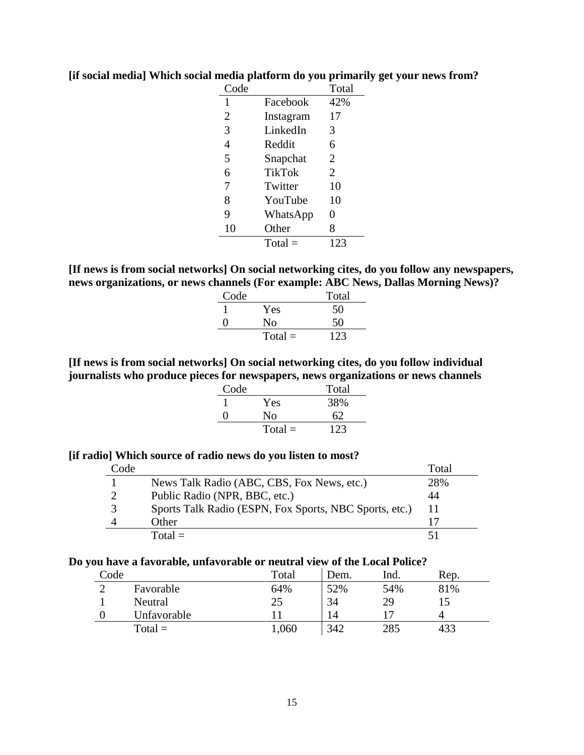| Code           |               | Total |
|----------------|---------------|-------|
| 1              | Facebook      | 42%   |
| $\overline{2}$ | Instagram     | 17    |
| 3              | LinkedIn      | 3     |
| 4              | Reddit        | 6     |
| 5              | Snapchat      | 2     |
| 6              | <b>TikTok</b> | 2     |
| 7              | Twitter       | 10    |
| 8              | YouTube       | 10    |
| 9              | WhatsApp      | 0     |
| 10             | Other         | 8     |
|                | $Total =$     | 123   |

### **[if social media] Which social media platform do you primarily get your news from?**

**[If news is from social networks] On social networking cites, do you follow any newspapers, news organizations, or news channels (For example: ABC News, Dallas Morning News)?**

| Code |           | Total |
|------|-----------|-------|
|      | Yes       | 50    |
| 0    | Nο        | 50    |
|      | $Total =$ | 123   |

# **[If news is from social networks] On social networking cites, do you follow individual journalists who produce pieces for newspapers, news organizations or news channels**

| Code |           | Total |
|------|-----------|-------|
|      | Yes       | 38%   |
| ∩    | Nο        | 62    |
|      | $Total =$ | 123   |

#### **[if radio] Which source of radio news do you listen to most?**

| Code |                                                        | Total |
|------|--------------------------------------------------------|-------|
|      | News Talk Radio (ABC, CBS, Fox News, etc.)             | 28%   |
|      | Public Radio (NPR, BBC, etc.)                          | 44    |
|      | Sports Talk Radio (ESPN, Fox Sports, NBC Sports, etc.) | 11    |
|      | Other                                                  |       |
|      | $Total =$                                              |       |

#### **Do you have a favorable, unfavorable or neutral view of the Local Police?**

| Code |             | Total | Dem. | Ind. | Rep. |  |
|------|-------------|-------|------|------|------|--|
| ⌒    | Favorable   | 64%   | 52%  | 54%  | 81%  |  |
|      | Neutral     | 25    | 34   | 29   |      |  |
|      | Unfavorable |       | 14   |      |      |  |
|      | $Total =$   | 1,060 | 342  | 285  | 433  |  |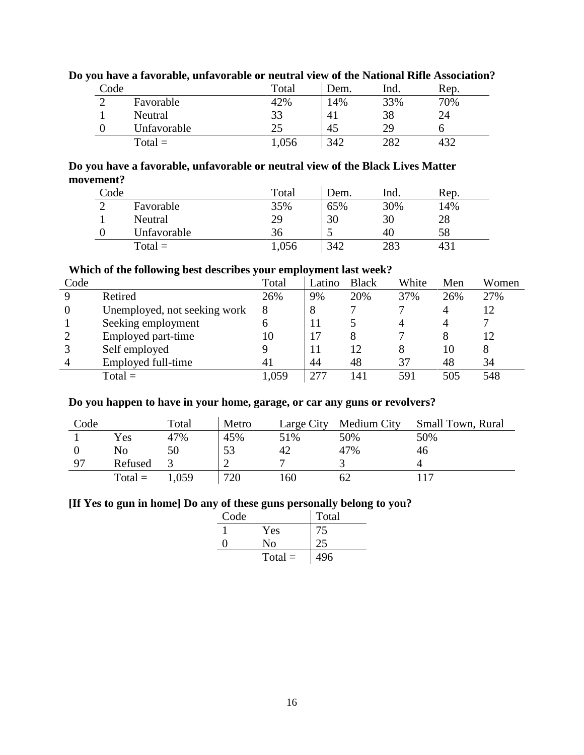| Code |             | Total | Dem. | lnd. | Rep. |  |
|------|-------------|-------|------|------|------|--|
|      | Favorable   | 42%   | 14%  | 33%  | 70%  |  |
|      | Neutral     | 33    | 41   | 38   | 24   |  |
|      | Unfavorable | 25    | 45   | 29   |      |  |
|      | $Total =$   | ,056  | 342  | 282  |      |  |

# **Do you have a favorable, unfavorable or neutral view of the National Rifle Association?**

# **Do you have a favorable, unfavorable or neutral view of the Black Lives Matter movement?**

| Code |             | Total | Dem. | Ind. | Rep. |
|------|-------------|-------|------|------|------|
|      | Favorable   | 35%   | 65%  | 30%  | 14%  |
|      | Neutral     | 29    | 30   | 30   | 28   |
|      | Unfavorable | 36    |      | 40   | 58   |
|      | $Total =$   | 1,056 | 342  | 283  | 431  |

# **Which of the following best describes your employment last week?**

| Code     |                              | Total | Latino | <b>Black</b> | White | Men            | Women |
|----------|------------------------------|-------|--------|--------------|-------|----------------|-------|
| Q        | Retired                      | 26%   | 9%     | 20%          | 37%   | 26%            | 27%   |
| $\theta$ | Unemployed, not seeking work | 8     | 8      |              |       | $\overline{4}$ | 12    |
|          | Seeking employment           | o     | 11     |              |       |                |       |
|          | Employed part-time           |       |        |              |       | 8              |       |
|          | Self employed                |       |        | 12           |       | 10             |       |
|          | Employed full-time           | 41    | 44     | 48           | 37    | 48             | 34    |
|          | $Total =$                    | .059  |        | 141          | 591   | 505            | 548   |

### **Do you happen to have in your home, garage, or car any guns or revolvers?**

| Code |           | Total | Metro | Large City | Medium City | Small Town, Rural |
|------|-----------|-------|-------|------------|-------------|-------------------|
|      | Yes       | 47%   | 45%   | 51%        | 50%         | 50%               |
|      | No        | 50    | 53    | 42         | 47%         | 46                |
| 97   | Refused   |       |       |            |             |                   |
|      | $Total =$ | .059  | 720   | 160        | 62          | 17                |

#### **[If Yes to gun in home] Do any of these guns personally belong to you?**

| Code |           | Total |
|------|-----------|-------|
|      | Yes       | 75    |
|      | No        |       |
|      | $Total =$ | 496   |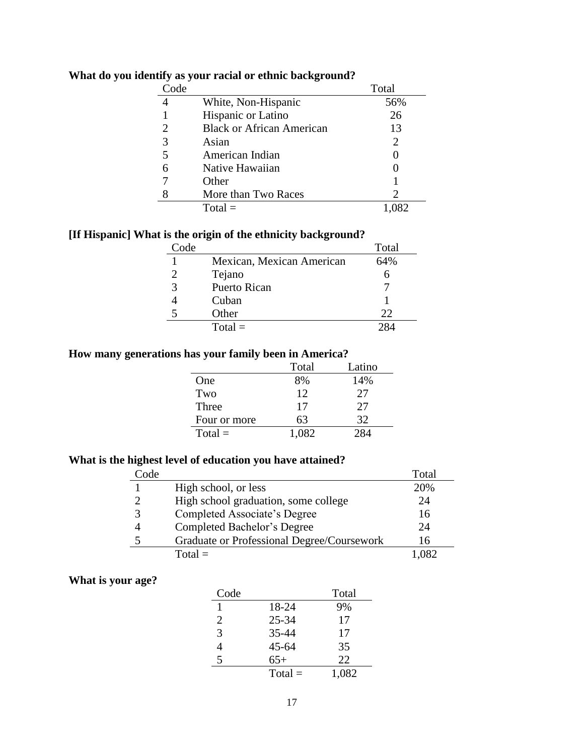| Code |                                  | Total          |
|------|----------------------------------|----------------|
|      | White, Non-Hispanic              | 56%            |
|      | Hispanic or Latino               | 26             |
| 2    | <b>Black or African American</b> | 13             |
|      | Asian                            | $\overline{2}$ |
|      | American Indian                  |                |
| 6    | Native Hawaiian                  |                |
|      | Other                            |                |
|      | More than Two Races              | 2              |
|      | $Total =$                        |                |

# **What do you identify as your racial or ethnic background?**

# **[If Hispanic] What is the origin of the ethnicity background?**

| Code        |                           | Total |
|-------------|---------------------------|-------|
|             | Mexican, Mexican American | 64%   |
|             | Tejano                    |       |
| $\mathbf 3$ | <b>Puerto Rican</b>       |       |
|             | Cuban                     |       |
| 5           | Other                     | 22    |
|             | $Total =$                 |       |

# **How many generations has your family been in America?**

|              | Total | Latino |
|--------------|-------|--------|
| One          | 8%    | 14%    |
| Two          | 12    | 27     |
| Three        | 17    | 27     |
| Four or more | 63    | 32     |
| $Total =$    | 1,082 | 284    |

# **What is the highest level of education you have attained?**

| Code |                                            | Total  |
|------|--------------------------------------------|--------|
|      | High school, or less                       | 20%    |
|      | High school graduation, some college       | 24     |
|      | Completed Associate's Degree               | 16     |
|      | Completed Bachelor's Degree                | 24     |
|      | Graduate or Professional Degree/Coursework | 16     |
|      | $Total =$                                  | $+082$ |

# **What is your age?**

| Code |           | Total |
|------|-----------|-------|
|      | 18-24     | 9%    |
| 2    | $25 - 34$ | 17    |
| 3    | 35-44     | 17    |
| 4    | $45 - 64$ | 35    |
| 5    | $65+$     | 22    |
|      | $Total =$ | 1,082 |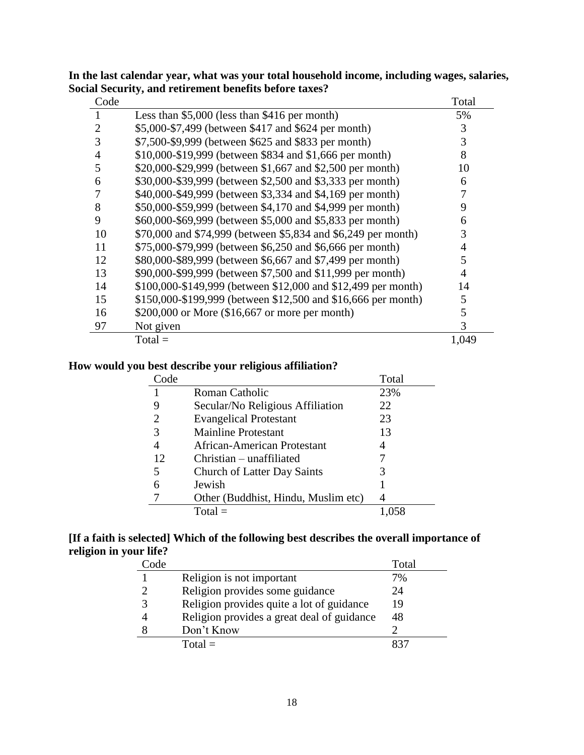| Code           |                                                               | Total |
|----------------|---------------------------------------------------------------|-------|
|                | Less than $$5,000$ (less than $$416$ per month)               | 5%    |
| 2              | \$5,000-\$7,499 (between \$417 and \$624 per month)           | 3     |
| 3              | \$7,500-\$9,999 (between \$625 and \$833 per month)           | 3     |
| $\overline{4}$ | \$10,000-\$19,999 (between \$834 and \$1,666 per month)       | 8     |
| 5              | \$20,000-\$29,999 (between \$1,667 and \$2,500 per month)     | 10    |
| 6              | \$30,000-\$39,999 (between \$2,500 and \$3,333 per month)     | 6     |
|                | \$40,000-\$49,999 (between \$3,334 and \$4,169 per month)     |       |
| 8              | \$50,000-\$59,999 (between \$4,170 and \$4,999 per month)     | 9     |
| 9              | \$60,000-\$69,999 (between \$5,000 and \$5,833 per month)     | 6     |
| 10             | \$70,000 and \$74,999 (between \$5,834 and \$6,249 per month) | 3     |
| 11             | \$75,000-\$79,999 (between \$6,250 and \$6,666 per month)     | 4     |
| 12             | \$80,000-\$89,999 (between \$6,667 and \$7,499 per month)     | 5     |
| 13             | \$90,000-\$99,999 (between \$7,500 and \$11,999 per month)    | 4     |
| 14             | \$100,000-\$149,999 (between \$12,000 and \$12,499 per month) | 14    |
| 15             | \$150,000-\$199,999 (between \$12,500 and \$16,666 per month) | 5     |
| 16             | \$200,000 or More (\$16,667 or more per month)                | 5     |
| 97             | Not given                                                     | 3     |
|                | $Total =$                                                     | 1,049 |

**In the last calendar year, what was your total household income, including wages, salaries, Social Security, and retirement benefits before taxes?**

### **How would you best describe your religious affiliation?**

| 'ode |                                     | Total |
|------|-------------------------------------|-------|
|      | Roman Catholic                      | 23%   |
|      | Secular/No Religious Affiliation    | 22    |
| 2    | <b>Evangelical Protestant</b>       | 23    |
| 3    | <b>Mainline Protestant</b>          | 13    |
|      | African-American Protestant         | 4     |
| 12   | $Christian - unaffiliated$          |       |
| 5    | <b>Church of Latter Day Saints</b>  | 3     |
| 6    | Jewish                              |       |
|      | Other (Buddhist, Hindu, Muslim etc) |       |
|      | $Total =$                           |       |

# **[If a faith is selected] Which of the following best describes the overall importance of religion in your life?**

| Code |                                            | Total |
|------|--------------------------------------------|-------|
|      | Religion is not important                  | 7%    |
|      | Religion provides some guidance            | 24    |
|      | Religion provides quite a lot of guidance  | 19    |
|      | Religion provides a great deal of guidance | 48    |
|      | Don't Know                                 |       |
|      | $Total =$                                  |       |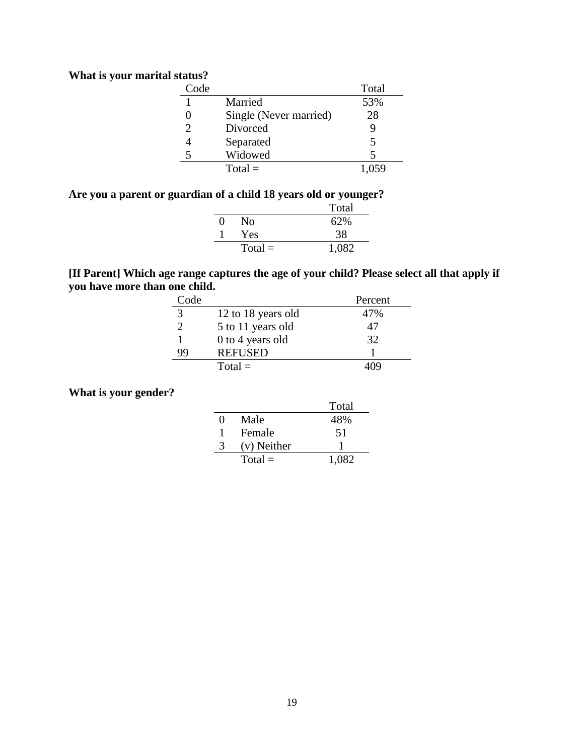# **What is your marital status?**

| Code |                        | Total |
|------|------------------------|-------|
|      | Married                | 53%   |
|      | Single (Never married) | 28    |
|      | Divorced               | 9     |
|      | Separated              | 5     |
|      | Widowed                | 5     |
|      | $Total =$              |       |

### **Are you a parent or guardian of a child 18 years old or younger?**

|              |           | Total |
|--------------|-----------|-------|
| $\mathbf{0}$ | No        | 62%   |
|              | Yes       | 38    |
|              | $Total =$ | 1,082 |

### **[If Parent] Which age range captures the age of your child? Please select all that apply if you have more than one child.**

| Code          |                    | Percent |
|---------------|--------------------|---------|
| $\mathcal{R}$ | 12 to 18 years old | 47%     |
|               | 5 to 11 years old  | 47      |
|               | 0 to 4 years old   | 32      |
| 99            | <b>REFUSED</b>     |         |
|               | $Total =$          |         |

# **What is your gender?**

|                   |             | Total |
|-------------------|-------------|-------|
| $\mathbf{\Omega}$ | Male        | 48%   |
|                   | Female      | 51    |
| 3                 | (v) Neither |       |
|                   | $Total =$   | 1,082 |